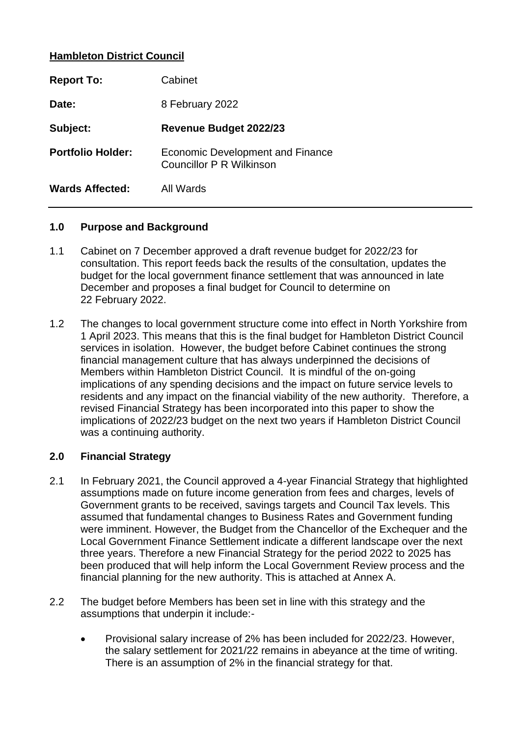## **Hambleton District Council**

| <b>Report To:</b>        | Cabinet                                                      |
|--------------------------|--------------------------------------------------------------|
| Date:                    | 8 February 2022                                              |
| Subject:                 | <b>Revenue Budget 2022/23</b>                                |
| <b>Portfolio Holder:</b> | Economic Development and Finance<br>Councillor P R Wilkinson |
| <b>Wards Affected:</b>   | All Wards                                                    |

#### **1.0 Purpose and Background**

- 1.1 Cabinet on 7 December approved a draft revenue budget for 2022/23 for consultation. This report feeds back the results of the consultation, updates the budget for the local government finance settlement that was announced in late December and proposes a final budget for Council to determine on 22 February 2022.
- 1.2 The changes to local government structure come into effect in North Yorkshire from 1 April 2023. This means that this is the final budget for Hambleton District Council services in isolation. However, the budget before Cabinet continues the strong financial management culture that has always underpinned the decisions of Members within Hambleton District Council. It is mindful of the on-going implications of any spending decisions and the impact on future service levels to residents and any impact on the financial viability of the new authority. Therefore, a revised Financial Strategy has been incorporated into this paper to show the implications of 2022/23 budget on the next two years if Hambleton District Council was a continuing authority.

## **2.0 Financial Strategy**

- 2.1 In February 2021, the Council approved a 4-year Financial Strategy that highlighted assumptions made on future income generation from fees and charges, levels of Government grants to be received, savings targets and Council Tax levels. This assumed that fundamental changes to Business Rates and Government funding were imminent. However, the Budget from the Chancellor of the Exchequer and the Local Government Finance Settlement indicate a different landscape over the next three years. Therefore a new Financial Strategy for the period 2022 to 2025 has been produced that will help inform the Local Government Review process and the financial planning for the new authority. This is attached at Annex A.
- 2.2 The budget before Members has been set in line with this strategy and the assumptions that underpin it include:-
	- Provisional salary increase of 2% has been included for 2022/23. However, the salary settlement for 2021/22 remains in abeyance at the time of writing. There is an assumption of 2% in the financial strategy for that.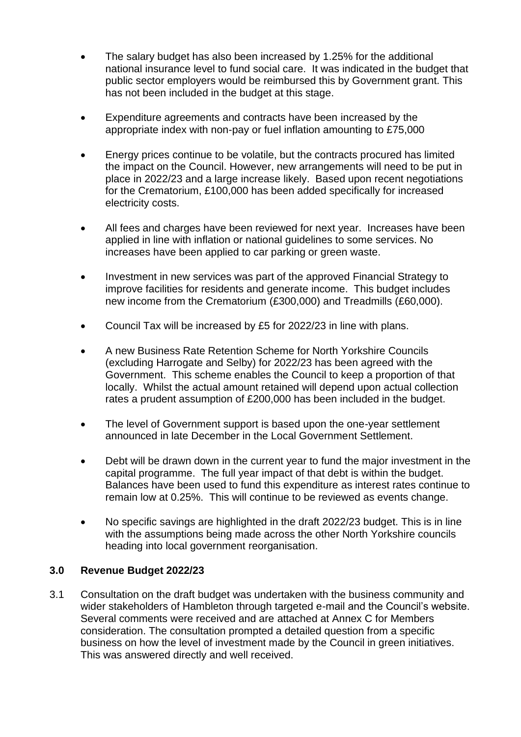- The salary budget has also been increased by 1.25% for the additional national insurance level to fund social care. It was indicated in the budget that public sector employers would be reimbursed this by Government grant. This has not been included in the budget at this stage.
- Expenditure agreements and contracts have been increased by the appropriate index with non-pay or fuel inflation amounting to £75,000
- Energy prices continue to be volatile, but the contracts procured has limited the impact on the Council. However, new arrangements will need to be put in place in 2022/23 and a large increase likely. Based upon recent negotiations for the Crematorium, £100,000 has been added specifically for increased electricity costs.
- All fees and charges have been reviewed for next year. Increases have been applied in line with inflation or national guidelines to some services. No increases have been applied to car parking or green waste.
- Investment in new services was part of the approved Financial Strategy to improve facilities for residents and generate income. This budget includes new income from the Crematorium (£300,000) and Treadmills (£60,000).
- Council Tax will be increased by £5 for 2022/23 in line with plans.
- A new Business Rate Retention Scheme for North Yorkshire Councils (excluding Harrogate and Selby) for 2022/23 has been agreed with the Government. This scheme enables the Council to keep a proportion of that locally. Whilst the actual amount retained will depend upon actual collection rates a prudent assumption of £200,000 has been included in the budget.
- The level of Government support is based upon the one-year settlement announced in late December in the Local Government Settlement.
- Debt will be drawn down in the current year to fund the major investment in the capital programme. The full year impact of that debt is within the budget. Balances have been used to fund this expenditure as interest rates continue to remain low at 0.25%. This will continue to be reviewed as events change.
- No specific savings are highlighted in the draft 2022/23 budget. This is in line with the assumptions being made across the other North Yorkshire councils heading into local government reorganisation.

# **3.0 Revenue Budget 2022/23**

3.1 Consultation on the draft budget was undertaken with the business community and wider stakeholders of Hambleton through targeted e-mail and the Council's website. Several comments were received and are attached at Annex C for Members consideration. The consultation prompted a detailed question from a specific business on how the level of investment made by the Council in green initiatives. This was answered directly and well received.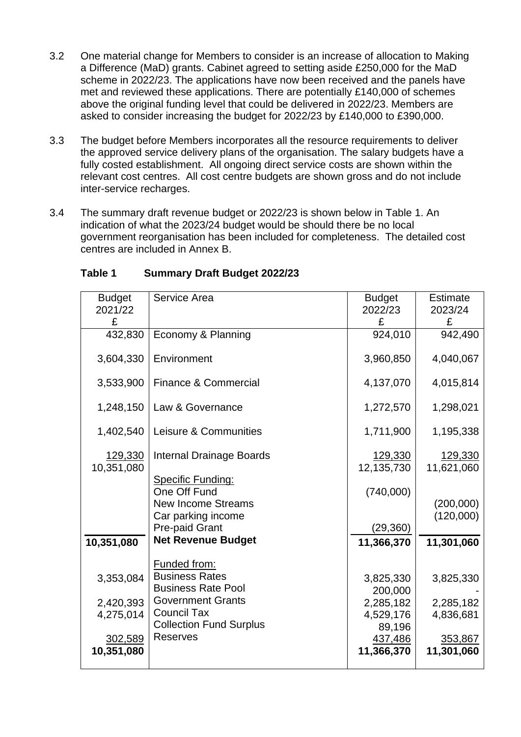- 3.2 One material change for Members to consider is an increase of allocation to Making a Difference (MaD) grants. Cabinet agreed to setting aside £250,000 for the MaD scheme in 2022/23. The applications have now been received and the panels have met and reviewed these applications. There are potentially £140,000 of schemes above the original funding level that could be delivered in 2022/23. Members are asked to consider increasing the budget for 2022/23 by £140,000 to £390,000.
- 3.3 The budget before Members incorporates all the resource requirements to deliver the approved service delivery plans of the organisation. The salary budgets have a fully costed establishment. All ongoing direct service costs are shown within the relevant cost centres. All cost centre budgets are shown gross and do not include inter-service recharges.
- 3.4 The summary draft revenue budget or 2022/23 is shown below in Table 1. An indication of what the 2023/24 budget would be should there be no local government reorganisation has been included for completeness. The detailed cost centres are included in Annex B.

| <b>Budget</b> | Service Area                    | <b>Budget</b> | Estimate   |
|---------------|---------------------------------|---------------|------------|
|               |                                 |               |            |
| 2021/22       |                                 | 2022/23       | 2023/24    |
| £             |                                 | £             | £          |
| 432,830       | Economy & Planning              | 924,010       | 942,490    |
|               |                                 |               |            |
| 3,604,330     | Environment                     | 3,960,850     | 4,040,067  |
|               |                                 |               |            |
| 3,533,900     | <b>Finance &amp; Commercial</b> | 4,137,070     | 4,015,814  |
|               |                                 |               |            |
| 1,248,150     | Law & Governance                | 1,272,570     | 1,298,021  |
|               |                                 |               |            |
| 1,402,540     | Leisure & Communities           | 1,711,900     | 1,195,338  |
|               |                                 |               |            |
|               |                                 |               |            |
| 129,330       | <b>Internal Drainage Boards</b> | 129,330       | 129,330    |
| 10,351,080    |                                 | 12,135,730    | 11,621,060 |
|               | Specific Funding:               |               |            |
|               | One Off Fund                    | (740,000)     |            |
|               | <b>New Income Streams</b>       |               | (200,000)  |
|               | Car parking income              |               | (120,000)  |
|               | Pre-paid Grant                  | (29, 360)     |            |
| 10,351,080    | <b>Net Revenue Budget</b>       | 11,366,370    | 11,301,060 |
|               |                                 |               |            |
|               | Funded from:                    |               |            |
| 3,353,084     | <b>Business Rates</b>           | 3,825,330     | 3,825,330  |
|               | <b>Business Rate Pool</b>       | 200,000       |            |
|               | <b>Government Grants</b>        |               |            |
| 2,420,393     | <b>Council Tax</b>              | 2,285,182     | 2,285,182  |
| 4,275,014     | <b>Collection Fund Surplus</b>  | 4,529,176     | 4,836,681  |
|               |                                 | 89,196        |            |
| 302,589       | <b>Reserves</b>                 | 437,486       | 353,867    |
| 10,351,080    |                                 | 11,366,370    | 11,301,060 |
|               |                                 |               |            |

# **Table 1 Summary Draft Budget 2022/23**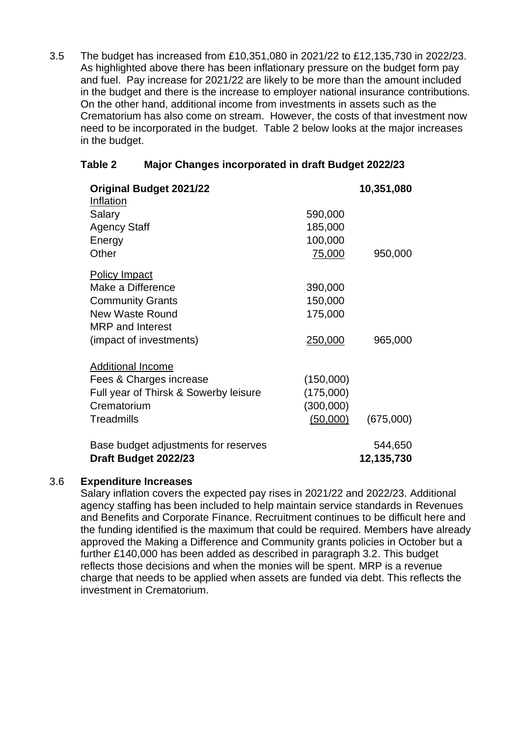3.5 The budget has increased from £10,351,080 in 2021/22 to £12,135,730 in 2022/23. As highlighted above there has been inflationary pressure on the budget form pay and fuel. Pay increase for 2021/22 are likely to be more than the amount included in the budget and there is the increase to employer national insurance contributions. On the other hand, additional income from investments in assets such as the Crematorium has also come on stream. However, the costs of that investment now need to be incorporated in the budget. Table 2 below looks at the major increases in the budget.

| <b>Original Budget 2021/22</b><br>Inflation                  |           | 10,351,080            |
|--------------------------------------------------------------|-----------|-----------------------|
| Salary                                                       | 590,000   |                       |
| <b>Agency Staff</b>                                          | 185,000   |                       |
| Energy                                                       | 100,000   |                       |
| Other                                                        | 75,000    | 950,000               |
| <b>Policy Impact</b>                                         |           |                       |
| Make a Difference                                            | 390,000   |                       |
| <b>Community Grants</b>                                      | 150,000   |                       |
| <b>New Waste Round</b>                                       | 175,000   |                       |
| <b>MRP</b> and Interest                                      |           |                       |
| (impact of investments)                                      | 250,000   | 965,000               |
| <b>Additional Income</b>                                     |           |                       |
| Fees & Charges increase                                      | (150,000) |                       |
| Full year of Thirsk & Sowerby leisure                        | (175,000) |                       |
| Crematorium                                                  | (300,000) |                       |
| Treadmills                                                   | (50,000)  | (675,000)             |
| Base budget adjustments for reserves<br>Draft Budget 2022/23 |           | 544,650<br>12,135,730 |

# **Table 2 Major Changes incorporated in draft Budget 2022/23**

### 3.6 **Expenditure Increases**

Salary inflation covers the expected pay rises in 2021/22 and 2022/23. Additional agency staffing has been included to help maintain service standards in Revenues and Benefits and Corporate Finance. Recruitment continues to be difficult here and the funding identified is the maximum that could be required. Members have already approved the Making a Difference and Community grants policies in October but a further £140,000 has been added as described in paragraph 3.2. This budget reflects those decisions and when the monies will be spent. MRP is a revenue charge that needs to be applied when assets are funded via debt. This reflects the investment in Crematorium.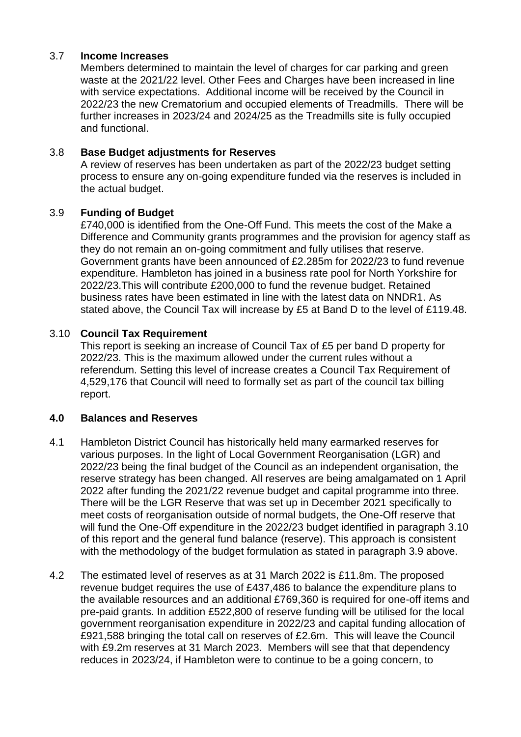### 3.7 **Income Increases**

Members determined to maintain the level of charges for car parking and green waste at the 2021/22 level. Other Fees and Charges have been increased in line with service expectations. Additional income will be received by the Council in 2022/23 the new Crematorium and occupied elements of Treadmills. There will be further increases in 2023/24 and 2024/25 as the Treadmills site is fully occupied and functional.

## 3.8 **Base Budget adjustments for Reserves**

A review of reserves has been undertaken as part of the 2022/23 budget setting process to ensure any on-going expenditure funded via the reserves is included in the actual budget.

## 3.9 **Funding of Budget**

£740,000 is identified from the One-Off Fund. This meets the cost of the Make a Difference and Community grants programmes and the provision for agency staff as they do not remain an on-going commitment and fully utilises that reserve. Government grants have been announced of £2.285m for 2022/23 to fund revenue expenditure. Hambleton has joined in a business rate pool for North Yorkshire for 2022/23.This will contribute £200,000 to fund the revenue budget. Retained business rates have been estimated in line with the latest data on NNDR1. As stated above, the Council Tax will increase by £5 at Band D to the level of £119.48.

## 3.10 **Council Tax Requirement**

This report is seeking an increase of Council Tax of £5 per band D property for 2022/23. This is the maximum allowed under the current rules without a referendum. Setting this level of increase creates a Council Tax Requirement of 4,529,176 that Council will need to formally set as part of the council tax billing report.

### **4.0 Balances and Reserves**

- 4.1 Hambleton District Council has historically held many earmarked reserves for various purposes. In the light of Local Government Reorganisation (LGR) and 2022/23 being the final budget of the Council as an independent organisation, the reserve strategy has been changed. All reserves are being amalgamated on 1 April 2022 after funding the 2021/22 revenue budget and capital programme into three. There will be the LGR Reserve that was set up in December 2021 specifically to meet costs of reorganisation outside of normal budgets, the One-Off reserve that will fund the One-Off expenditure in the 2022/23 budget identified in paragraph 3.10 of this report and the general fund balance (reserve). This approach is consistent with the methodology of the budget formulation as stated in paragraph 3.9 above.
- 4.2 The estimated level of reserves as at 31 March 2022 is £11.8m. The proposed revenue budget requires the use of £437,486 to balance the expenditure plans to the available resources and an additional £769,360 is required for one-off items and pre-paid grants. In addition £522,800 of reserve funding will be utilised for the local government reorganisation expenditure in 2022/23 and capital funding allocation of £921,588 bringing the total call on reserves of £2.6m. This will leave the Council with £9.2m reserves at 31 March 2023. Members will see that that dependency reduces in 2023/24, if Hambleton were to continue to be a going concern, to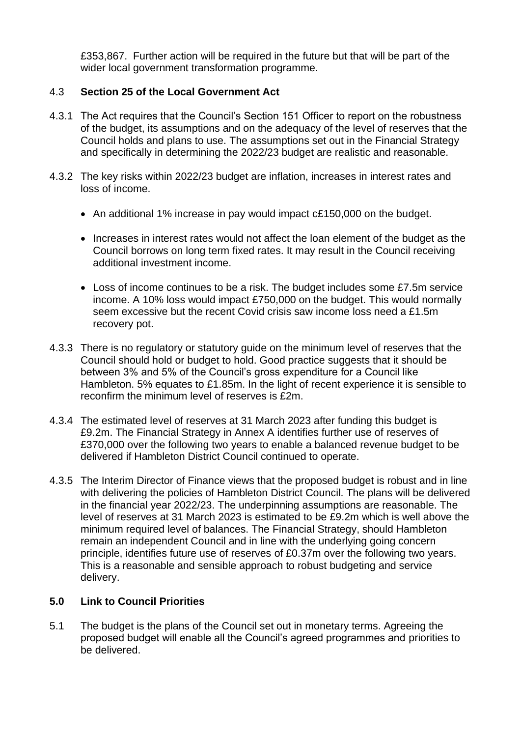£353,867. Further action will be required in the future but that will be part of the wider local government transformation programme.

# 4.3 **Section 25 of the Local Government Act**

- 4.3.1 The Act requires that the Council's Section 151 Officer to report on the robustness of the budget, its assumptions and on the adequacy of the level of reserves that the Council holds and plans to use. The assumptions set out in the Financial Strategy and specifically in determining the 2022/23 budget are realistic and reasonable.
- 4.3.2 The key risks within 2022/23 budget are inflation, increases in interest rates and loss of income.
	- An additional 1% increase in pay would impact c£150,000 on the budget.
	- Increases in interest rates would not affect the loan element of the budget as the Council borrows on long term fixed rates. It may result in the Council receiving additional investment income.
	- Loss of income continues to be a risk. The budget includes some £7.5m service income. A 10% loss would impact £750,000 on the budget. This would normally seem excessive but the recent Covid crisis saw income loss need a £1.5m recovery pot.
- 4.3.3 There is no regulatory or statutory guide on the minimum level of reserves that the Council should hold or budget to hold. Good practice suggests that it should be between 3% and 5% of the Council's gross expenditure for a Council like Hambleton. 5% equates to £1.85m. In the light of recent experience it is sensible to reconfirm the minimum level of reserves is £2m.
- 4.3.4 The estimated level of reserves at 31 March 2023 after funding this budget is £9.2m. The Financial Strategy in Annex A identifies further use of reserves of £370,000 over the following two years to enable a balanced revenue budget to be delivered if Hambleton District Council continued to operate.
- 4.3.5 The Interim Director of Finance views that the proposed budget is robust and in line with delivering the policies of Hambleton District Council. The plans will be delivered in the financial year 2022/23. The underpinning assumptions are reasonable. The level of reserves at 31 March 2023 is estimated to be £9.2m which is well above the minimum required level of balances. The Financial Strategy, should Hambleton remain an independent Council and in line with the underlying going concern principle, identifies future use of reserves of £0.37m over the following two years. This is a reasonable and sensible approach to robust budgeting and service delivery.

# **5.0 Link to Council Priorities**

5.1 The budget is the plans of the Council set out in monetary terms. Agreeing the proposed budget will enable all the Council's agreed programmes and priorities to be delivered.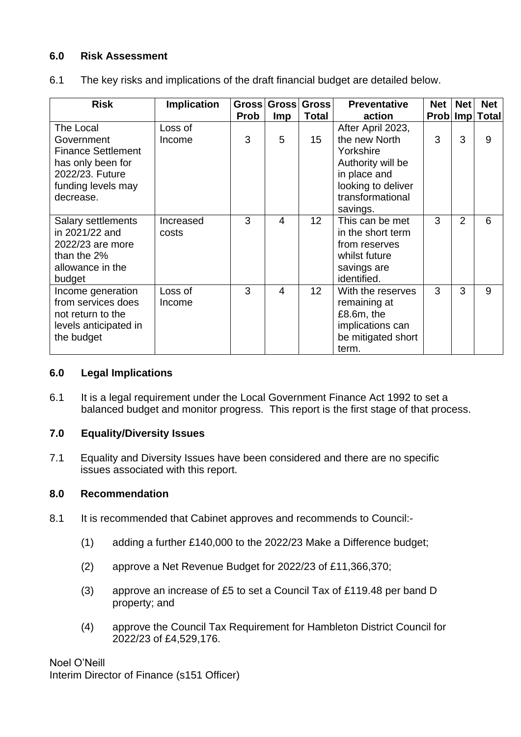# **6.0 Risk Assessment**

| 6.1 |  | The key risks and implications of the draft financial budget are detailed below. |
|-----|--|----------------------------------------------------------------------------------|
|     |  |                                                                                  |

| <b>Risk</b>                                                                                                                     | <b>Implication</b> | <b>Prob</b> | Gross Gross<br><b>Imp</b> | <b>Gross</b><br><b>Total</b> | <b>Preventative</b><br>action                                                                                                  | <b>Net</b><br><b>Prob</b> | <b>Net</b>     | <b>Net</b><br>Imp Total |
|---------------------------------------------------------------------------------------------------------------------------------|--------------------|-------------|---------------------------|------------------------------|--------------------------------------------------------------------------------------------------------------------------------|---------------------------|----------------|-------------------------|
| The Local<br>Government<br><b>Finance Settlement</b><br>has only been for<br>2022/23. Future<br>funding levels may<br>decrease. | Loss of<br>Income  | 3           | 5                         | 15                           | After April 2023,<br>the new North<br>Yorkshire<br>Authority will be<br>in place and<br>looking to deliver<br>transformational | 3                         | 3              | 9                       |
| Salary settlements<br>in 2021/22 and<br>2022/23 are more<br>than the 2%<br>allowance in the<br>budget                           | Increased<br>costs | 3           | 4                         | 12                           | savings.<br>This can be met<br>in the short term<br>from reserves<br>whilst future<br>savings are<br>identified.               | 3                         | $\overline{2}$ | 6                       |
| Income generation<br>from services does<br>not return to the<br>levels anticipated in<br>the budget                             | Loss of<br>Income  | 3           | $\overline{\mathbf{4}}$   | 12                           | With the reserves<br>remaining at<br>$£8.6m,$ the<br>implications can<br>be mitigated short<br>term.                           | 3                         | 3              | 9                       |

### **6.0 Legal Implications**

6.1 It is a legal requirement under the Local Government Finance Act 1992 to set a balanced budget and monitor progress. This report is the first stage of that process.

### **7.0 Equality/Diversity Issues**

7.1 Equality and Diversity Issues have been considered and there are no specific issues associated with this report.

#### **8.0 Recommendation**

- 8.1 It is recommended that Cabinet approves and recommends to Council:-
	- (1) adding a further £140,000 to the 2022/23 Make a Difference budget;
	- (2) approve a Net Revenue Budget for 2022/23 of £11,366,370;
	- (3) approve an increase of £5 to set a Council Tax of £119.48 per band D property; and
	- (4) approve the Council Tax Requirement for Hambleton District Council for 2022/23 of £4,529,176.

Noel O'Neill Interim Director of Finance (s151 Officer)